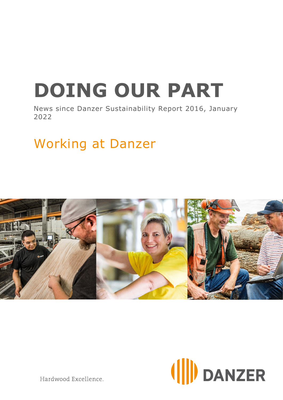# **DOING OUR PART**

News since Danzer Sustainability Report 2016, January 2022

## Working at Danzer





Hardwood Excellence.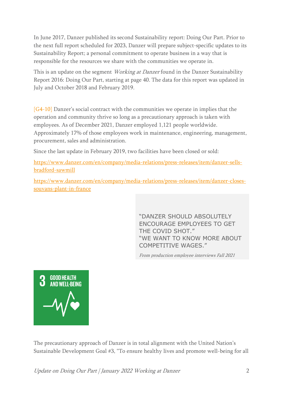In June 2017, Danzer published its second Sustainability report: Doing Our Part. Prior to the next full report scheduled for 2023, Danzer will prepare subject-specific updates to its Sustainability Report; a personal commitment to operate business in a way that is responsible for the resources we share with the communities we operate in.

This is an update on the segment *Working at Danzer* found in the Danzer Sustainability Report 2016: Doing Our Part, starting at page 40. The data for this report was updated in July and October 2018 and February 2019.

[G4-10] Danzer's social contract with the communities we operate in implies that the operation and community thrive so long as a precautionary approach is taken with employees. As of December 2021, Danzer employed 1,121 people worldwide. Approximately 17% of those employees work in maintenance, engineering, management, procurement, sales and administration.

Since the last update in February 2019, two facilities have been closed or sold:

[https://www.danzer.com/en/company/media-relations/press-releases/item/danzer-sells](https://www.danzer.com/en/company/media-relations/press-releases/item/danzer-sells-bradford-sawmill)[bradford-sawmill](https://www.danzer.com/en/company/media-relations/press-releases/item/danzer-sells-bradford-sawmill)

[https://www.danzer.com/en/company/media-relations/press-releases/item/danzer-closes](https://www.danzer.com/en/company/media-relations/press-releases/item/danzer-closes-souvans-plant-in-france)[souvans-plant-in-france](https://www.danzer.com/en/company/media-relations/press-releases/item/danzer-closes-souvans-plant-in-france)

> "DANZER SHOULD ABSOLUTELY ENCOURAGE EMPLOYEES TO GET THE COVID SHOT." "WE WANT TO KNOW MORE ABOUT COMPETITIVE WAGES."

From production employee interviews Fall 2021



The precautionary approach of Danzer is in total alignment with the United Nation's Sustainable Development Goal #3, "To ensure healthy lives and promote well-being for all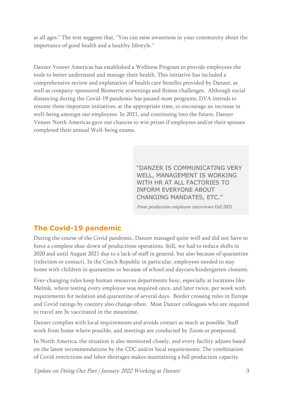at all ages." The text suggests that, "You can raise awareness in your community about the importance of good health and a healthy lifestyle."

Danzer Veneer Americas has established a Wellness Program to provide employees the tools to better understand and manage their health. This initiative has included a comprehensive review and explanation of health care benefits provided by Danzer, as well as company-sponsored Biometric screenings and fitness challenges. Although social distancing during the Covid-19 pandemic has paused most programs, DVA intends to resume these important initiatives, at the appropriate time, to encourage an increase in well-being amongst our employees. In 2021, and continuing into the future, Danzer Veneer North Americas gave out chances to win prizes if employees and/or their spouses completed their annual Well-being exams.

> "DANZER IS COMMUNICATING VERY WELL, MANAGEMENT IS WORKING WITH HR AT ALL FACTORIES TO INFORM EVERYONE ABOUT CHANGING MANDATES, ETC."

From production employee interviews Fall 2021

#### **The Covid-19 pandemic**

During the course of the Covid pandemic, Danzer managed quite well and did not have to force a complete shut-down of productions operations. Still, we had to reduce shifts in 2020 and until August 2021 due to a lack of staff in general, but also because of quarantine (infection or contact). In the Czech Republic in particular, employees needed to stay home with children in quarantine or because of school and daycare/kindergarten closures.

Ever-changing rules keep human resources departments busy, especially at locations like Melnik, where testing every employee was required once, and later twice, per week with requirements for isolation and quarantine of several days. Border crossing rules in Europe and Covid ratings by country also change often. Most Danzer colleagues who are required to travel are 3x vaccinated in the meantime.

Danzer complies with local requirements and avoids contact as much as possible. Staff work from home where possible, and meetings are conducted by Zoom or postponed.

In North America, the situation is also monitored closely, and every facility adjusts based on the latest recommendations by the CDC and/or local requirements. The combination of Covid restrictions and labor shortages makes maintaining a full production capacity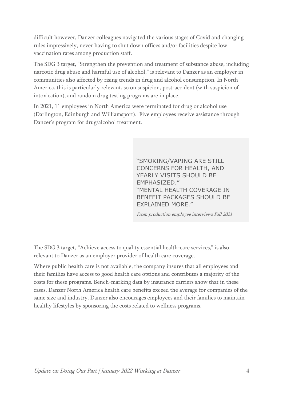difficult however, Danzer colleagues navigated the various stages of Covid and changing rules impressively, never having to shut down offices and/or facilities despite low vaccination rates among production staff.

The SDG 3 target, "Strengthen the prevention and treatment of substance abuse, including narcotic drug abuse and harmful use of alcohol," is relevant to Danzer as an employer in communities also affected by rising trends in drug and alcohol consumption. In North America, this is particularly relevant, so on suspicion, post-accident (with suspicion of intoxication), and random drug testing programs are in place.

In 2021, 11 employees in North America were terminated for drug or alcohol use (Darlington, Edinburgh and Williamsport). Five employees receive assistance through Danzer's program for drug/alcohol treatment.

> "SMOKING/VAPING ARE STILL CONCERNS FOR HEALTH, AND YEARLY VISITS SHOULD BE EMPHASIZED." "MENTAL HEALTH COVERAGE IN BENEFIT PACKAGES SHOULD BE EXPLAINED MORE."

From production employee interviews Fall 2021

The SDG 3 target, "Achieve access to quality essential health-care services," is also relevant to Danzer as an employer provider of health care coverage.

Where public health care is not available, the company insures that all employees and their families have access to good health care options and contributes a majority of the costs for these programs. Bench-marking data by insurance carriers show that in these cases, Danzer North America health care benefits exceed the average for companies of the same size and industry. Danzer also encourages employees and their families to maintain healthy lifestyles by sponsoring the costs related to wellness programs.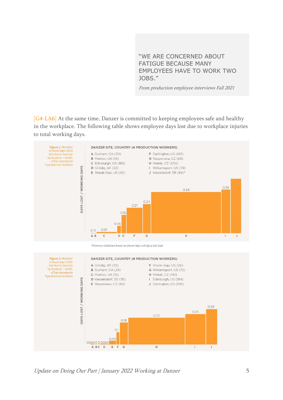"WE ARE CONCERNED ABOUT FATIGUE BECAUSE MANY EMPLOYEES HAVE TO WORK TWO JOBS."

From production employee interviews Fall 2021

[G4-LA6] At the same time, Danzer is committed to keeping employees safe and healthy in the workplace. The following table shows employee days lost due to workplace injuries to total working days.

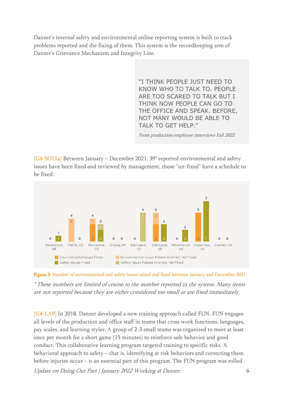Danzer's internal safety and environmental online reporting system is built to track problems reported and the fixing of them. This system is the recordkeeping arm of Danzer's Grievance Mechanism and Integrity Line.

> "I THINK PEOPLE JUST NEED TO KNOW WHO TO TALK TO. PEOPLE ARE TOO SCARED TO TALK BUT I THINK NOW PEOPLE CAN GO TO THE OFFICE AND SPEAK. BEFORE, NOT MANY WOULD BE ABLE TO TALK TO GET HELP."

From production employee interviews Fall 2022

[G4-SO11a] Between January – December 2021, 39\* reported environmental and safety issues have been fixed and reviewed by management, those "un-fixed" have a schedule to be fixed:





\* These numbers are limited of course to the number reported in the system. Many items are not reported because they are either considered too small or are fixed immediately.

Update on Doing Our Part | January 2022 Working at Danzer 6 [G4-LA9] In 2018, Danzer developed a new training approach called FUN. FUN engages all levels of the production and office staff in teams that cross work functions, languages, pay scales, and learning styles. A group of 2-3 small teams was organized to meet at least once per month for a short game (15 minutes) to reinforce safe behavior and good conduct. This collaborative learning program targeted training to specific risks. A behavioral approach to safety – that is, identifying at risk behaviors and correcting them before injuries occur – is an essential part of this program. The FUN program was rolled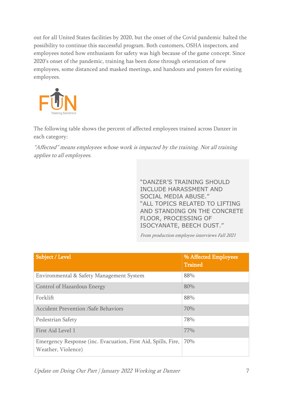out for all United States facilities by 2020, but the onset of the Covid pandemic halted the possibility to continue this successful program. Both customers, OSHA inspectors, and employees noted how enthusiasm for safety was high because of the game concept. Since 2020's onset of the pandemic, training has been done through orientation of new employees, some distanced and masked meetings, and handouts and posters for existing employees.



The following table shows the percent of affected employees trained across Danzer in each category:

"Affected" means employees whose work is impacted by the training. Not all training applies to all employees.

> "DANZER'S TRAINING SHOULD INCLUDE HARASSMENT AND SOCIAL MEDIA ABUSE." "ALL TOPICS RELATED TO LIFTING AND STANDING ON THE CONCRETE FLOOR, PROCESSING OF ISOCYANATE, BEECH DUST."

From production employee interviews Fall 2021

| Subject / Level                                                                     | % Affected Employees<br><b>Trained</b> |
|-------------------------------------------------------------------------------------|----------------------------------------|
| Environmental & Safety Management System                                            | 88%                                    |
| Control of Hazardous Energy                                                         | 80%                                    |
| Forklift                                                                            | 88%                                    |
| <b>Accident Prevention /Safe Behaviors</b>                                          | 70%                                    |
| Pedestrian Safety                                                                   | 78%                                    |
| First Aid Level 1                                                                   | 77%                                    |
| Emergency Response (inc. Evacuation, First Aid, Spills, Fire,<br>Weather, Violence) | 70%                                    |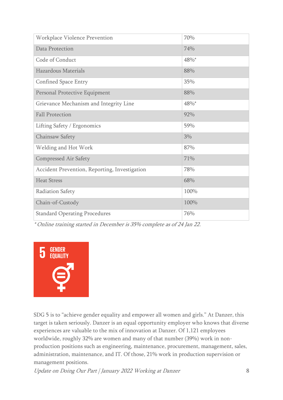| Workplace Violence Prevention                 | 70%  |
|-----------------------------------------------|------|
| Data Protection                               | 74%  |
| Code of Conduct                               | 48%* |
| Hazardous Materials                           | 88%  |
| <b>Confined Space Entry</b>                   | 35%  |
| Personal Protective Equipment                 | 88%  |
| Grievance Mechanism and Integrity Line        | 48%* |
| <b>Fall Protection</b>                        | 92%  |
| Lifting Safety / Ergonomics                   | 59%  |
| Chainsaw Safety                               | 3%   |
| Welding and Hot Work                          | 87%  |
| Compressed Air Safety                         | 71%  |
| Accident Prevention, Reporting, Investigation | 78%  |
| <b>Heat Stress</b>                            | 68%  |
| <b>Radiation Safety</b>                       | 100% |
| Chain-of-Custody                              | 100% |
| <b>Standard Operating Procedures</b>          | 76%  |

\* Online training started in December is 35% complete as of 24 Jan 22.



SDG 5 is to "achieve gender equality and empower all women and girls." At Danzer, this target is taken seriously. Danzer is an equal opportunity employer who knows that diverse experiences are valuable to the mix of innovation at Danzer. Of 1,121 employees worldwide, roughly 32% are women and many of that number (39%) work in nonproduction positions such as engineering, maintenance, procurement, management, sales, administration, maintenance, and IT. Of those, 21% work in production supervision or management positions.